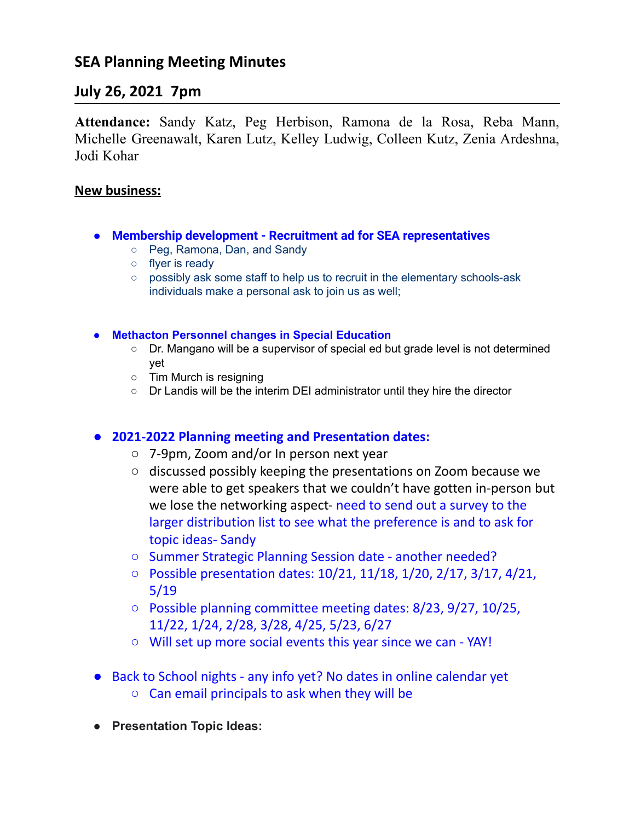# **SEA Planning Meeting Minutes**

## **July 26, 2021 7pm**

**Attendance:** Sandy Katz, Peg Herbison, Ramona de la Rosa, Reba Mann, Michelle Greenawalt, Karen Lutz, Kelley Ludwig, Colleen Kutz, Zenia Ardeshna, Jodi Kohar

## **New business:**

- **Membership development Recruitment ad for SEA representatives**
	- **○** Peg, Ramona, Dan, and Sandy
	- flyer is ready
	- possibly ask some staff to help us to recruit in the elementary schools-ask individuals make a personal ask to join us as well;
- **● Methacton Personnel changes in Special Education**
	- Dr. Mangano will be a supervisor of special ed but grade level is not determined yet
	- Tim Murch is resigning
	- Dr Landis will be the interim DEI administrator until they hire the director

## **● 2021-2022 Planning meeting and Presentation dates:**

- 7-9pm, Zoom and/or In person next year
- discussed possibly keeping the presentations on Zoom because we were able to get speakers that we couldn't have gotten in-person but we lose the networking aspect- need to send out a survey to the larger distribution list to see what the preference is and to ask for topic ideas- Sandy
- Summer Strategic Planning Session date another needed?
- Possible presentation dates: 10/21, 11/18, 1/20, 2/17, 3/17, 4/21, 5/19
- Possible planning committee meeting dates: 8/23, 9/27, 10/25, 11/22, 1/24, 2/28, 3/28, 4/25, 5/23, 6/27
- Will set up more social events this year since we can YAY!
- Back to School nights any info yet? No dates in online calendar yet ○ Can email principals to ask when they will be
- **● Presentation Topic Ideas:**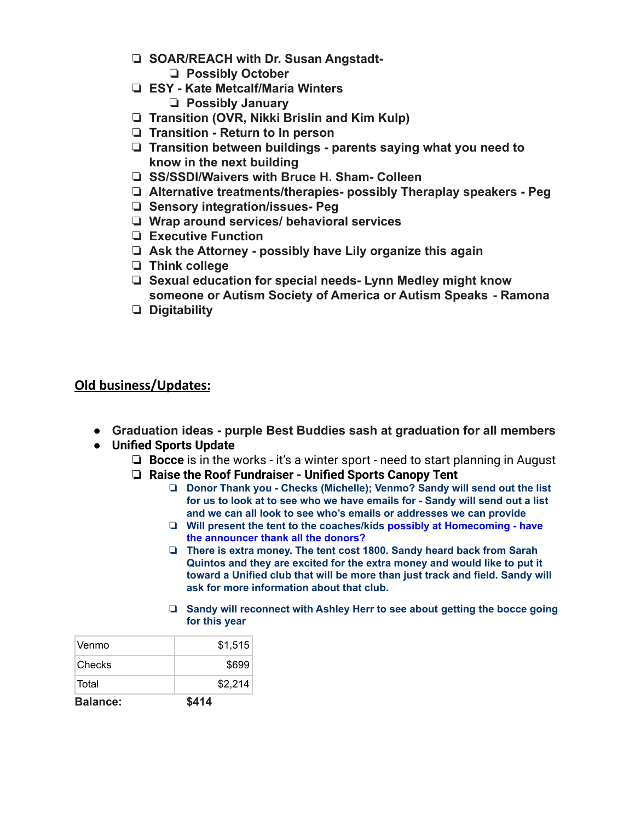- ❏ **SOAR/REACH with Dr. Susan Angstadt-**
	- ❏ **Possibly October**
- ❏ **ESY Kate Metcalf/Maria Winters** ❏ **Possibly January**
- ❏ **Transition (OVR, Nikki Brislin and Kim Kulp)**
- ❏ **Transition Return to In person**
- ❏ **Transition between buildings parents saying what you need to know in the next building**
- ❏ **SS/SSDI/Waivers with Bruce H. Sham- Colleen**
- ❏ **Alternative treatments/therapies- possibly Theraplay speakers Peg**
- ❏ **Sensory integration/issues- Peg**
- ❏ **Wrap around services/ behavioral services**
- ❏ **Executive Function**
- ❏ **Ask the Attorney possibly have Lily organize this again**
- ❏ **Think college**
- ❏ **Sexual education for special needs- Lynn Medley might know someone or Autism Society of America or Autism Speaks - Ramona**
- ❏ **Digitability**

## **Old business/Updates:**

- **● Graduation ideas purple Best Buddies sash at graduation for all members**
- **● Unified Sports Update**
	- ❏ **Bocce** is in the works it's a winter sport need to start planning in August
	- ❏ **Raise the Roof Fundraiser Unified Sports Canopy Tent**
		- ❏ **Donor Thank you - Checks (Michelle); Venmo? Sandy will send out the list for us to look at to see who we have emails for - Sandy will send out a list and we can all look to see who's emails or addresses we can provide**
		- ❏ **Will present the tent to the coaches/kids possibly at Homecoming - have the announcer thank all the donors?**
		- ❏ **There is extra money. The tent cost 1800. Sandy heard back from Sarah Quintos and they are excited for the extra money and would like to put it toward a Unified club that will be more than just track and field. Sandy will ask for more information about that club.**
		- ❏ **Sandy will reconnect with Ashley Herr to see about getting the bocce going for this year**

| <b>Balance:</b> | \$414   |
|-----------------|---------|
| Total           | \$2,214 |
| Checks          | \$699   |
| Venmo           | \$1,515 |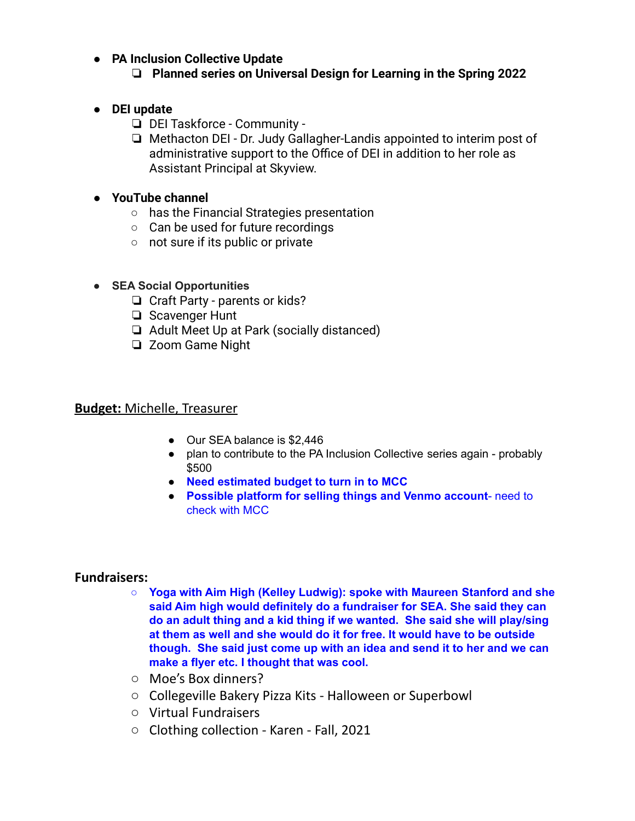## **● PA Inclusion Collective Update**

## ❏ **Planned series on Universal Design for Learning in the Spring 2022**

- **● DEI update**
	- ❏ DEI Taskforce Community -
	- ❏ Methacton DEI Dr. Judy Gallagher-Landis appointed to interim post of administrative support to the Office of DEI in addition to her role as Assistant Principal at Skyview.

#### **● YouTube channel**

- has the Financial Strategies presentation
- Can be used for future recordings
- not sure if its public or private

## **● SEA Social Opportunities**

- ❏ Craft Party parents or kids?
- ❏ Scavenger Hunt
- ❏ Adult Meet Up at Park (socially distanced)
- ❏ Zoom Game Night

#### **Budget:** Michelle, Treasurer

- Our SEA balance is \$2,446
- plan to contribute to the PA Inclusion Collective series again probably \$500
- **Need estimated budget to turn in to MCC**
- **Possible platform for selling things and Venmo account** need to check with MCC

#### **Fundraisers:**

- **○ Yoga with Aim High (Kelley Ludwig): spoke with Maureen Stanford and she said Aim high would definitely do a fundraiser for SEA. She said they can do an adult thing and a kid thing if we wanted. She said she will play/sing at them as well and she would do it for free. It would have to be outside though. She said just come up with an idea and send it to her and we can make a flyer etc. I thought that was cool.**
- Moe's Box dinners?
- Collegeville Bakery Pizza Kits Halloween or Superbowl
- Virtual Fundraisers
- Clothing collection Karen Fall, 2021